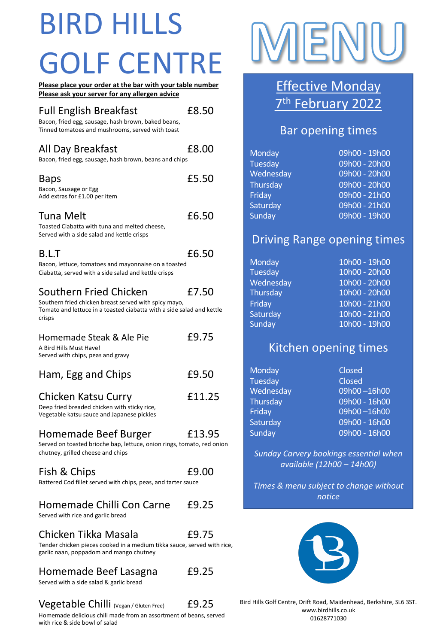## BIRD HILLS GOLF CENTRE

| Please place your order at the bar with your table number<br>Please ask your server for any allergen advice                                                        |        |  |
|--------------------------------------------------------------------------------------------------------------------------------------------------------------------|--------|--|
| <b>Full English Breakfast</b><br>Bacon, fried egg, sausage, hash brown, baked beans,<br>Tinned tomatoes and mushrooms, served with toast                           | £8.50  |  |
| All Day Breakfast<br>Bacon, fried egg, sausage, hash brown, beans and chips                                                                                        | £8.00  |  |
| Baps<br>Bacon, Sausage or Egg<br>Add extras for £1.00 per item                                                                                                     | £5.50  |  |
| Tuna Melt<br>Toasted Ciabatta with tuna and melted cheese,<br>Served with a side salad and kettle crisps                                                           | £6.50  |  |
| B.L.T<br>Bacon, lettuce, tomatoes and mayonnaise on a toasted<br>Ciabatta, served with a side salad and kettle crisps                                              | £6.50  |  |
| Southern Fried Chicken<br>Southern fried chicken breast served with spicy mayo,<br>Tomato and lettuce in a toasted ciabatta with a side salad and kettle<br>crisps | £7.50  |  |
| Homemade Steak & Ale Pie<br>A Bird Hills Must Have!<br>Served with chips, peas and gravy                                                                           | £9.75  |  |
| Ham, Egg and Chips                                                                                                                                                 | £9.50  |  |
| Chicken Katsu Curry<br>Deep fried breaded chicken with sticky rice,<br>Vegetable katsu sauce and Japanese pickles                                                  | £11.25 |  |

Homemade Beef Burger £13.95

Served on toasted brioche bap, lettuce, onion rings, tomato, red onion chutney, grilled cheese and chips

| Fish & Chips                                                  | £9.00 |
|---------------------------------------------------------------|-------|
| Battered Cod fillet served with chips, peas, and tarter sauce |       |

#### Homemade Chilli Con Carne £9.25

Served with rice and garlic bread

Chicken Tikka Masala £9.75

Tender chicken pieces cooked in a medium tikka sauce, served with rice, garlic naan, poppadom and mango chutney

#### Homemade Beef Lasagna £9.25

Served with a side salad & garlic bread

#### Vegetable Chilli (Vegan / Gluten Free) £9.25

Homemade delicious chili made from an assortment of beans, served with rice & side bowl of salad



### **PREASE Asserver For Advice Monday** 7<sup>th</sup> February 2022

### Bar opening times

| Monday         | 09h00 - 19h00   |
|----------------|-----------------|
| <b>Tuesday</b> | $09h00 - 20h00$ |
| Wednesday      | 09h00 - 20h00   |
| Thursday       | 09h00 - 20h00   |
| Friday         | 09h00 - 21h00   |
| Saturday       | 09h00 - 21h00   |
| Sunday         | 09h00 - 19h00   |

### Driving Range opening times

| <b>Monday</b> | 10h00 - 19h00 |
|---------------|---------------|
| Tuesday       | 10h00 - 20h00 |
| Wednesday     | 10h00 - 20h00 |
| Thursday      | 10h00 - 20h00 |
| Friday        | 10h00 - 21h00 |
| Saturday      | 10h00 - 21h00 |
| Sunday        | 10h00 - 19h00 |

### Kitchen opening times

| Monday    | Closed        |
|-----------|---------------|
| Tuesday   | Closed        |
| Wednesday | 09h00-16h00   |
| Thursday  | 09h00 - 16h00 |
| Friday    | 09h00-16h00   |
| Saturday  | 09h00 - 16h00 |
| Sunday    | 09h00 - 16h00 |

*Sunday Carvery bookings essential when available (12h00 – 14h00)*

*Times & menu subject to change without notice*



Bird Hills Golf Centre, Drift Road, Maidenhead, Berkshire, SL6 3ST. www.birdhills.co.uk 01628771030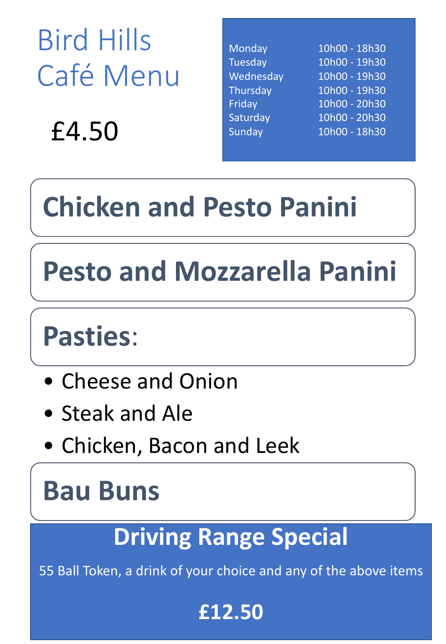Bird Hills Café Menu

£4.50

| Monday    | 10h00 - 18h30 |
|-----------|---------------|
| Tuesday   | 10h00 - 19h30 |
| Wednesday | 10h00 - 19h30 |
| Thursday  | 10h00 - 19h30 |
| Friday    | 10h00 - 20h30 |
| Saturday  | 10h00 - 20h30 |
| Sunday    | 10h00 - 18h30 |
|           |               |

# **Chicken and Pesto Panini**

## **Pesto and Mozzarella Panini**

### **Pasties**:

- Cheese and Onion
- Steak and Ale
- Chicken, Bacon and Leek

### **Bau Buns**

### **Driving Range Special**

55 Ball Token, a drink of your choice and any of the above items

### **£12.50**